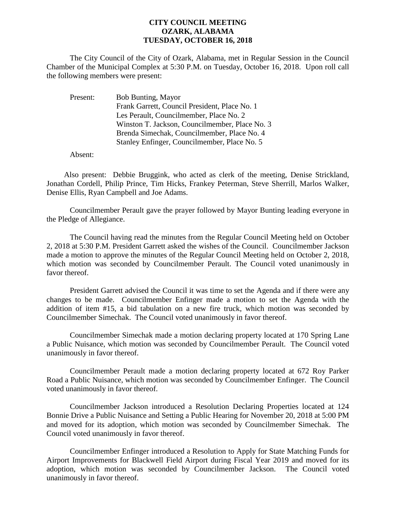## **CITY COUNCIL MEETING OZARK, ALABAMA TUESDAY, OCTOBER 16, 2018**

The City Council of the City of Ozark, Alabama, met in Regular Session in the Council Chamber of the Municipal Complex at 5:30 P.M. on Tuesday, October 16, 2018. Upon roll call the following members were present:

| Present: | <b>Bob Bunting, Mayor</b>                      |
|----------|------------------------------------------------|
|          | Frank Garrett, Council President, Place No. 1  |
|          | Les Perault, Councilmember, Place No. 2        |
|          | Winston T. Jackson, Councilmember, Place No. 3 |
|          | Brenda Simechak, Councilmember, Place No. 4    |
|          | Stanley Enfinger, Councilmember, Place No. 5   |

Absent:

Also present: Debbie Bruggink, who acted as clerk of the meeting, Denise Strickland, Jonathan Cordell, Philip Prince, Tim Hicks, Frankey Peterman, Steve Sherrill, Marlos Walker, Denise Ellis, Ryan Campbell and Joe Adams.

Councilmember Perault gave the prayer followed by Mayor Bunting leading everyone in the Pledge of Allegiance.

The Council having read the minutes from the Regular Council Meeting held on October 2, 2018 at 5:30 P.M. President Garrett asked the wishes of the Council. Councilmember Jackson made a motion to approve the minutes of the Regular Council Meeting held on October 2, 2018, which motion was seconded by Councilmember Perault. The Council voted unanimously in favor thereof.

President Garrett advised the Council it was time to set the Agenda and if there were any changes to be made. Councilmember Enfinger made a motion to set the Agenda with the addition of item #15, a bid tabulation on a new fire truck, which motion was seconded by Councilmember Simechak. The Council voted unanimously in favor thereof.

Councilmember Simechak made a motion declaring property located at 170 Spring Lane a Public Nuisance, which motion was seconded by Councilmember Perault. The Council voted unanimously in favor thereof.

Councilmember Perault made a motion declaring property located at 672 Roy Parker Road a Public Nuisance, which motion was seconded by Councilmember Enfinger. The Council voted unanimously in favor thereof.

Councilmember Jackson introduced a Resolution Declaring Properties located at 124 Bonnie Drive a Public Nuisance and Setting a Public Hearing for November 20, 2018 at 5:00 PM and moved for its adoption, which motion was seconded by Councilmember Simechak. The Council voted unanimously in favor thereof.

Councilmember Enfinger introduced a Resolution to Apply for State Matching Funds for Airport Improvements for Blackwell Field Airport during Fiscal Year 2019 and moved for its adoption, which motion was seconded by Councilmember Jackson. The Council voted unanimously in favor thereof.